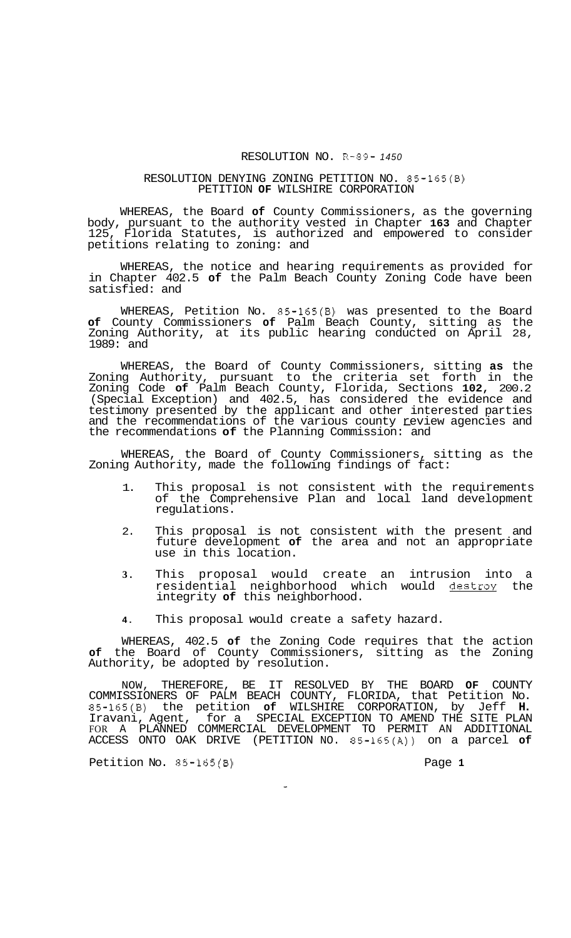## RESOLUTION NO. R-89- *1450*

## RESOLUTION DENYING ZONING PETITION NO. 85-165(B) PETITION **OF** WILSHIRE CORPORATION

WHEREAS, the Board **of** County Commissioners, as the governing body, pursuant to the authority vested in Chapter **163** and Chapter 125, Florida Statutes, is authorized and empowered to consider petitions relating to zoning: and

WHEREAS, the notice and hearing requirements as provided for in Chapter 402.5 **of** the Palm Beach County Zoning Code have been satisfied: and

WHEREAS, Petition No. 85-165(B) was presented to the Board **of** County Commissioners **of** Palm Beach County, sitting as the Zoning Authority, at its public hearing conducted on April 28, 1989: and

WHEREAS, the Board of County Commissioners, sitting **as** the Zoning Authority, pursuant to the criteria set forth in the Zoning Code **of** Palm Beach County, Florida, Sections **102,** 200.2 (Special Exception) and 402.5, has considered the evidence and testimony presented by the applicant and other interested parties and the recommendations of the various county review agencies and testimony presented by the applicant and other inte<br>and the recommendations of the various county <u>r</u>evie<br>the recommendations **of** the Planning Commission: and

WHEREAS, the Board of County Commissioners, sitting as the Zoning Authority, made the following findings of fact:

- 1. This proposal is not consistent with the requirements of the Comprehensive Plan and local land development regulations.
- 2. This proposal is not consistent with the present and future development **of** the area and not an appropriate use in this location.
- **3.** This proposal would create an intrusion into a residential neighborhood which would destroy the integrity **of** this neighborhood.
- **4.** This proposal would create a safety hazard.

WHEREAS, 402.5 **of** the Zoning Code requires that the action **of** the Board of County Commissioners, sitting as the Zoning Authority, be adopted by resolution.

NOW, THEREFORE, BE IT RESOLVED BY THE BOARD **OF** COUNTY COMMISSIONERS OF PALM BEACH COUNTY, FLORIDA, that Petition No. 85-165(B) the petition **of** WILSHIRE CORPORATION, by Jeff **H.**  Iravani, Agent, for a SPECIAL EXCEPTION TO AMEND THE SITE PLAN ACCESS ONTO OAK DRIVE (PETITION NO. 85-165(A)) on a parcel **of**  FOR A PLANNED COMMERCIAL DEVELOPMENT TO PERMIT AN ADDITIONAL

Petition No. 85-165(B) Page 1